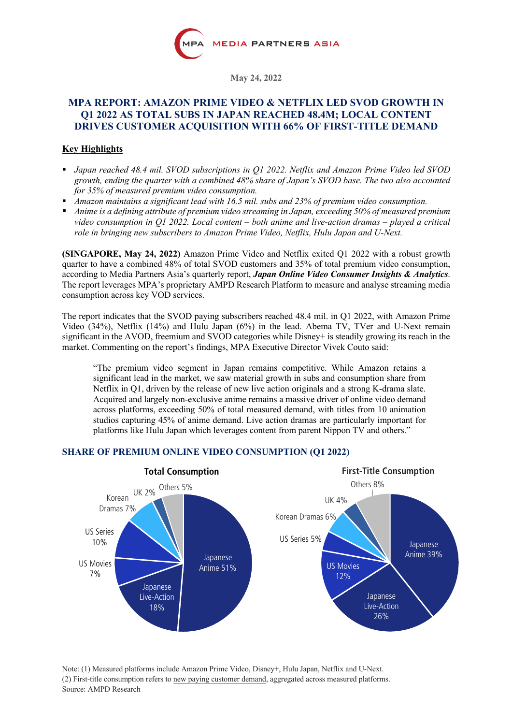

**May 24, 2022**

# **MPA REPORT: AMAZON PRIME VIDEO & NETFLIX LED SVOD GROWTH IN Q1 2022 AS TOTAL SUBS IN JAPAN REACHED 48.4M; LOCAL CONTENT DRIVES CUSTOMER ACQUISITION WITH 66% OF FIRST-TITLE DEMAND**

# **Key Highlights**

- § *Japan reached 48.4 mil. SVOD subscriptions in Q1 2022. Netflix and Amazon Prime Video led SVOD growth, ending the quarter with a combined 48% share of Japan's SVOD base. The two also accounted for 35% of measured premium video consumption.*
- § *Amazon maintains a significant lead with 16.5 mil. subs and 23% of premium video consumption.*
- *Anime is a defining attribute of premium video streaming in Japan, exceeding 50% of measured premium video consumption in Q1 2022. Local content – both anime and live-action dramas – played a critical role in bringing new subscribers to Amazon Prime Video, Netflix, Hulu Japan and U-Next.*

**(SINGAPORE, May 24, 2022)** Amazon Prime Video and Netflix exited Q1 2022 with a robust growth quarter to have a combined 48% of total SVOD customers and 35% of total premium video consumption, according to Media Partners Asia's quarterly report, *Japan Online Video Consumer Insights & Analytics*. The report leverages MPA's proprietary AMPD Research Platform to measure and analyse streaming media consumption across key VOD services.

The report indicates that the SVOD paying subscribers reached 48.4 mil. in Q1 2022, with Amazon Prime Video (34%), Netflix (14%) and Hulu Japan (6%) in the lead. Abema TV, TVer and U-Next remain significant in the AVOD, freemium and SVOD categories while Disney+ is steadily growing its reach in the market. Commenting on the report's findings, MPA Executive Director Vivek Couto said:

"The premium video segment in Japan remains competitive. While Amazon retains a significant lead in the market, we saw material growth in subs and consumption share from Netflix in Q1, driven by the release of new live action originals and a strong K-drama slate. Acquired and largely non-exclusive anime remains a massive driver of online video demand across platforms, exceeding 50% of total measured demand, with titles from 10 animation studios capturing 45% of anime demand. Live action dramas are particularly important for platforms like Hulu Japan which leverages content from parent Nippon TV and others."



# **SHARE OF PREMIUM ONLINE VIDEO CONSUMPTION (Q1 2022)**

Note: (1) Measured platforms include Amazon Prime Video, Disney+, Hulu Japan, Netflix and U-Next. (2) First-title consumption refers to new paying customer demand, aggregated across measured platforms. Source: AMPD Research